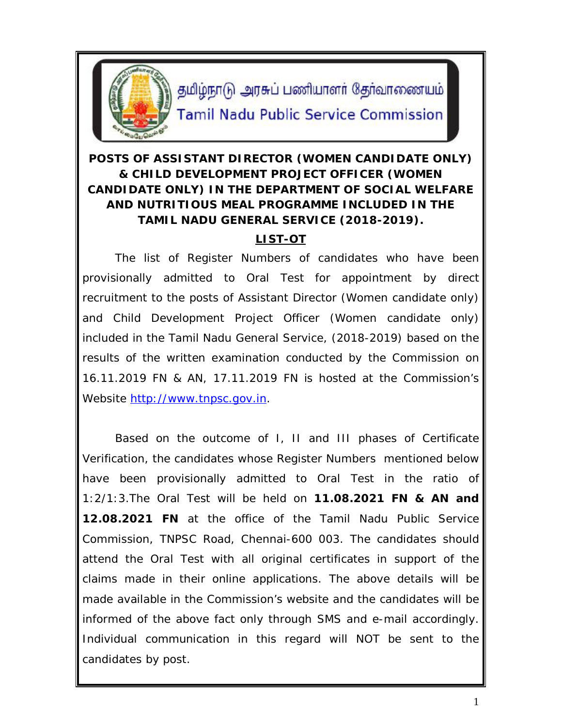

தமிழ்நாடு அரசுப் பணியாளர் தேர்வாணையம் **Tamil Nadu Public Service Commission** 

# **POSTS OF ASSISTANT DIRECTOR (WOMEN CANDIDATE ONLY) & CHILD DEVELOPMENT PROJECT OFFICER (WOMEN CANDIDATE ONLY) IN THE DEPARTMENT OF SOCIAL WELFARE AND NUTRITIOUS MEAL PROGRAMME INCLUDED IN THE TAMIL NADU GENERAL SERVICE (2018-2019).**

# **LIST-OT**

The list of Register Numbers of candidates who have been provisionally admitted to Oral Test for appointment by direct recruitment to the posts of Assistant Director (Women candidate only) and Child Development Project Officer (Women candidate only) included in the Tamil Nadu General Service, (2018-2019) based on the results of the written examination conducted by the Commission on 16.11.2019 FN & AN, 17.11.2019 FN is hosted at the Commission's Website http://www.tnpsc.gov.in.

Based on the outcome of I, II and III phases of Certificate Verification, the candidates whose Register Numbers mentioned below have been provisionally admitted to Oral Test in the ratio of 1:2/1:3.The Oral Test will be held on **11.08.2021 FN & AN and 12.08.2021 FN** at the office of the Tamil Nadu Public Service Commission, TNPSC Road, Chennai-600 003. The candidates should attend the Oral Test with all original certificates in support of the claims made in their online applications. The above details will be made available in the Commission's website and the candidates will be informed of the above fact only through SMS and e-mail accordingly. Individual communication in this regard will NOT be sent to the candidates by post.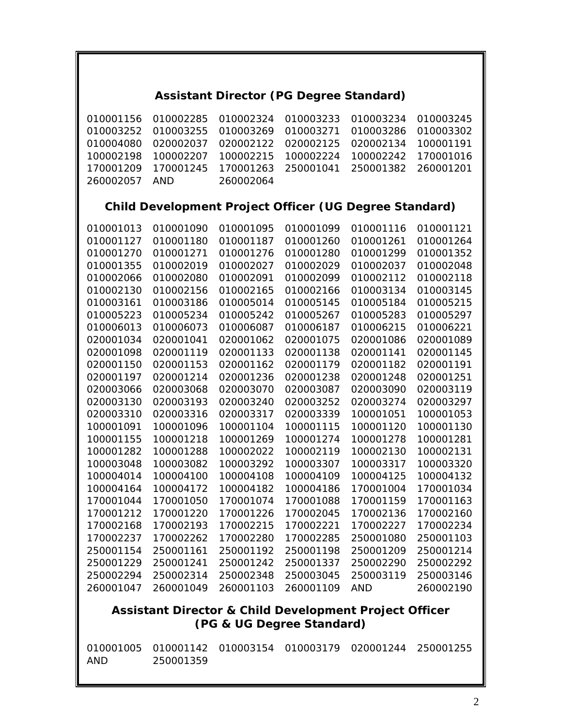### **Assistant Director (PG Degree Standard)**

010001156 010002285 010002324 010003233 010003234 010003245 010003252 010003255 010003269 010003271 010003286 010003302 010004080 020002037 020002122 020002125 020002134 100001191 100002198 100002207 100002215 100002224 100002242 170001016 170001209 170001245 170001263 250001041 250001382 260001201 260002057 AND 260002064

### **Child Development Project Officer (UG Degree Standard)**

| 010001013 | 010001090 | 010001095 | 010001099 | 010001116  | 010001121 |
|-----------|-----------|-----------|-----------|------------|-----------|
| 010001127 | 010001180 | 010001187 | 010001260 | 010001261  | 010001264 |
| 010001270 | 010001271 | 010001276 | 010001280 | 010001299  | 010001352 |
| 010001355 | 010002019 | 010002027 | 010002029 | 010002037  | 010002048 |
| 010002066 | 010002080 | 010002091 | 010002099 | 010002112  | 010002118 |
| 010002130 | 010002156 | 010002165 | 010002166 | 010003134  | 010003145 |
| 010003161 | 010003186 | 010005014 | 010005145 | 010005184  | 010005215 |
| 010005223 | 010005234 | 010005242 | 010005267 | 010005283  | 010005297 |
| 010006013 | 010006073 | 010006087 | 010006187 | 010006215  | 010006221 |
| 020001034 | 020001041 | 020001062 | 020001075 | 020001086  | 020001089 |
| 020001098 | 020001119 | 020001133 | 020001138 | 020001141  | 020001145 |
| 020001150 | 020001153 | 020001162 | 020001179 | 020001182  | 020001191 |
| 020001197 | 020001214 | 020001236 | 020001238 | 020001248  | 020001251 |
| 020003066 | 020003068 | 020003070 | 020003087 | 020003090  | 020003119 |
| 020003130 | 020003193 | 020003240 | 020003252 | 020003274  | 020003297 |
| 020003310 | 020003316 | 020003317 | 020003339 | 100001051  | 100001053 |
| 100001091 | 100001096 | 100001104 | 100001115 | 100001120  | 100001130 |
| 100001155 | 100001218 | 100001269 | 100001274 | 100001278  | 100001281 |
| 100001282 | 100001288 | 100002022 | 100002119 | 100002130  | 100002131 |
| 100003048 | 100003082 | 100003292 | 100003307 | 100003317  | 100003320 |
| 100004014 | 100004100 | 100004108 | 100004109 | 100004125  | 100004132 |
| 100004164 | 100004172 | 100004182 | 100004186 | 170001004  | 170001034 |
| 170001044 | 170001050 | 170001074 | 170001088 | 170001159  | 170001163 |
| 170001212 | 170001220 | 170001226 | 170002045 | 170002136  | 170002160 |
| 170002168 | 170002193 | 170002215 | 170002221 | 170002227  | 170002234 |
| 170002237 | 170002262 | 170002280 | 170002285 | 250001080  | 250001103 |
| 250001154 | 250001161 | 250001192 | 250001198 | 250001209  | 250001214 |
| 250001229 | 250001241 | 250001242 | 250001337 | 250002290  | 250002292 |
| 250002294 | 250002314 | 250002348 | 250003045 | 250003119  | 250003146 |
| 260001047 | 260001049 | 260001103 | 260001109 | <b>AND</b> | 260002190 |
|           |           |           |           |            |           |

#### **Assistant Director & Child Development Project Officer (PG & UG Degree Standard)**

|     |           | 010001005  010001142  010003154  010003179  020001244  250001255 |  |
|-----|-----------|------------------------------------------------------------------|--|
| AND | 250001359 |                                                                  |  |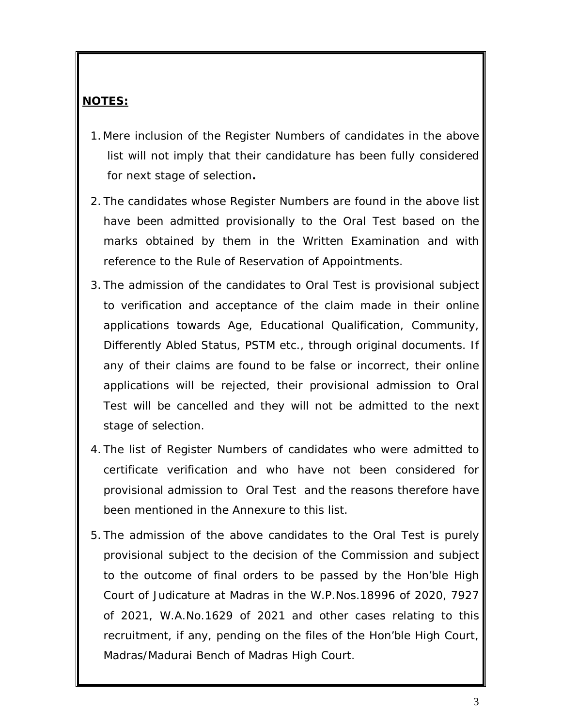### **NOTES:**

- *1.*Mere inclusion of the Register Numbers of candidates in the above list will not imply that their candidature has been fully considered for next stage of selection**.**
- 2. The candidates whose Register Numbers are found in the above list have been admitted provisionally to the Oral Test based on the marks obtained by them in the Written Examination and with reference to the Rule of Reservation of Appointments.
- 3. The admission of the candidates to Oral Test is provisional subject to verification and acceptance of the claim made in their online applications towards Age, Educational Qualification, Community, Differently Abled Status, PSTM etc., through original documents. If any of their claims are found to be false or incorrect, their online applications will be rejected, their provisional admission to Oral Test will be cancelled and they will not be admitted to the next stage of selection.
- 4. The list of Register Numbers of candidates who were admitted to certificate verification and who have not been considered for provisional admission to Oral Test and the reasons therefore have been mentioned in the Annexure to this list.
- 5. The admission of the above candidates to the Oral Test is purely provisional subject to the decision of the Commission and subject to the outcome of final orders to be passed by the Hon'ble High Court of Judicature at Madras in the W.P.Nos.18996 of 2020, 7927 of 2021, W.A.No.1629 of 2021 and other cases relating to this recruitment, if any, pending on the files of the Hon'ble High Court, Madras/Madurai Bench of Madras High Court.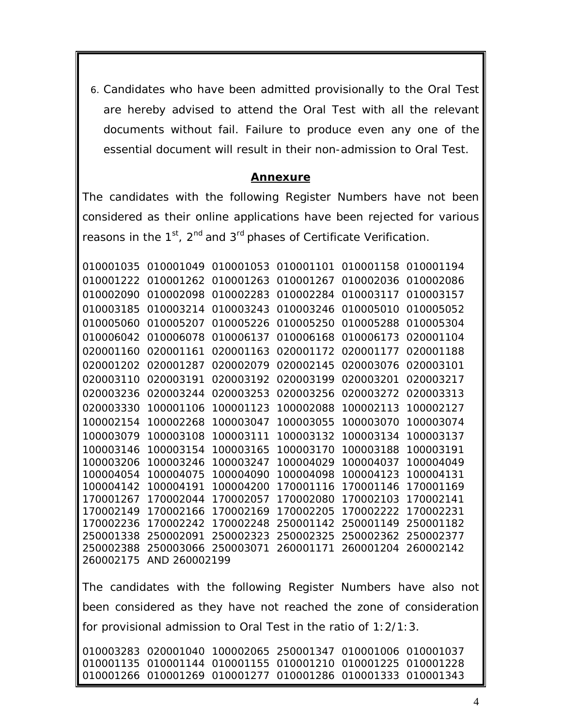6. Candidates who have been admitted provisionally to the Oral Test are hereby advised to attend the Oral Test with all the relevant documents without fail. Failure to produce even any one of the essential document will result in their non-admission to Oral Test.

#### *Annexure*

The candidates with the following Register Numbers have not been considered as their online applications have been rejected for various reasons in the 1st, 2nd and 3rd phases of Certificate Verification*.*

| 010001035                                                          | 010001049 | 010001053 | 010001101                               | 010001158 010001194 |           |
|--------------------------------------------------------------------|-----------|-----------|-----------------------------------------|---------------------|-----------|
| 010001222                                                          | 010001262 | 010001263 | 010001267                               | 010002036 010002086 |           |
| 010002090                                                          | 010002098 | 010002283 | 010002284                               | 010003117           | 010003157 |
| 010003185                                                          | 010003214 | 010003243 | 010003246                               | 010005010           | 010005052 |
| 010005060                                                          | 010005207 | 010005226 | 010005250                               | 010005288           | 010005304 |
| 010006042                                                          | 010006078 | 010006137 | 010006168                               | 010006173           | 020001104 |
| 020001160                                                          | 020001161 | 020001163 | 020001172                               | 020001177           | 020001188 |
| 020001202                                                          | 020001287 | 020002079 | 020002145                               | 020003076           | 020003101 |
| 020003110                                                          | 020003191 | 020003192 | 020003199                               | 020003201           | 020003217 |
| 020003236                                                          | 020003244 | 020003253 | 020003256                               | 020003272           | 020003313 |
| 020003330                                                          | 100001106 | 100001123 | 100002088                               | 100002113           | 100002127 |
| 100002154                                                          | 100002268 | 100003047 | 100003055                               | 100003070           | 100003074 |
| 100003079                                                          | 100003108 | 100003111 | 100003132                               | 100003134           | 100003137 |
| 100003146                                                          | 100003154 | 100003165 | 100003170                               | 100003188           | 100003191 |
| 100003206                                                          | 100003246 | 100003247 | 100004029                               | 100004037           | 100004049 |
| 100004054                                                          | 100004075 | 100004090 | 100004098                               | 100004123           | 100004131 |
| 100004142                                                          | 100004191 | 100004200 | 170001116                               | 170001146           | 170001169 |
| 170001267                                                          | 170002044 | 170002057 | 170002080                               | 170002103           | 170002141 |
| 170002149                                                          | 170002166 | 170002169 | 170002205                               | 170002222           | 170002231 |
| 170002236                                                          | 170002242 | 170002248 | 250001142                               | 250001149           | 250001182 |
| 250001338                                                          | 250002091 | 250002323 | 250002325                               | 250002362           | 250002377 |
| 250002388                                                          | 250003066 | 250003071 | 260001171                               | 260001204           | 260002142 |
| 260002175<br>AND 260002199                                         |           |           |                                         |                     |           |
|                                                                    |           |           |                                         |                     |           |
| The candidates with the following Register Numbers have also not   |           |           |                                         |                     |           |
| been considered as they have not reached the zone of consideration |           |           |                                         |                     |           |
| for provisional admission to Oral Test in the ratio of 1:2/1:3.    |           |           |                                         |                     |           |
| 010003283                                                          | 020001040 | 100002065 | 250001347 010001006 010001037           |                     |           |
| 010001135                                                          | 010001144 |           | 010001155 010001210 010001225 010001228 |                     |           |

010001266 010001269 010001277 010001286 010001333 010001343